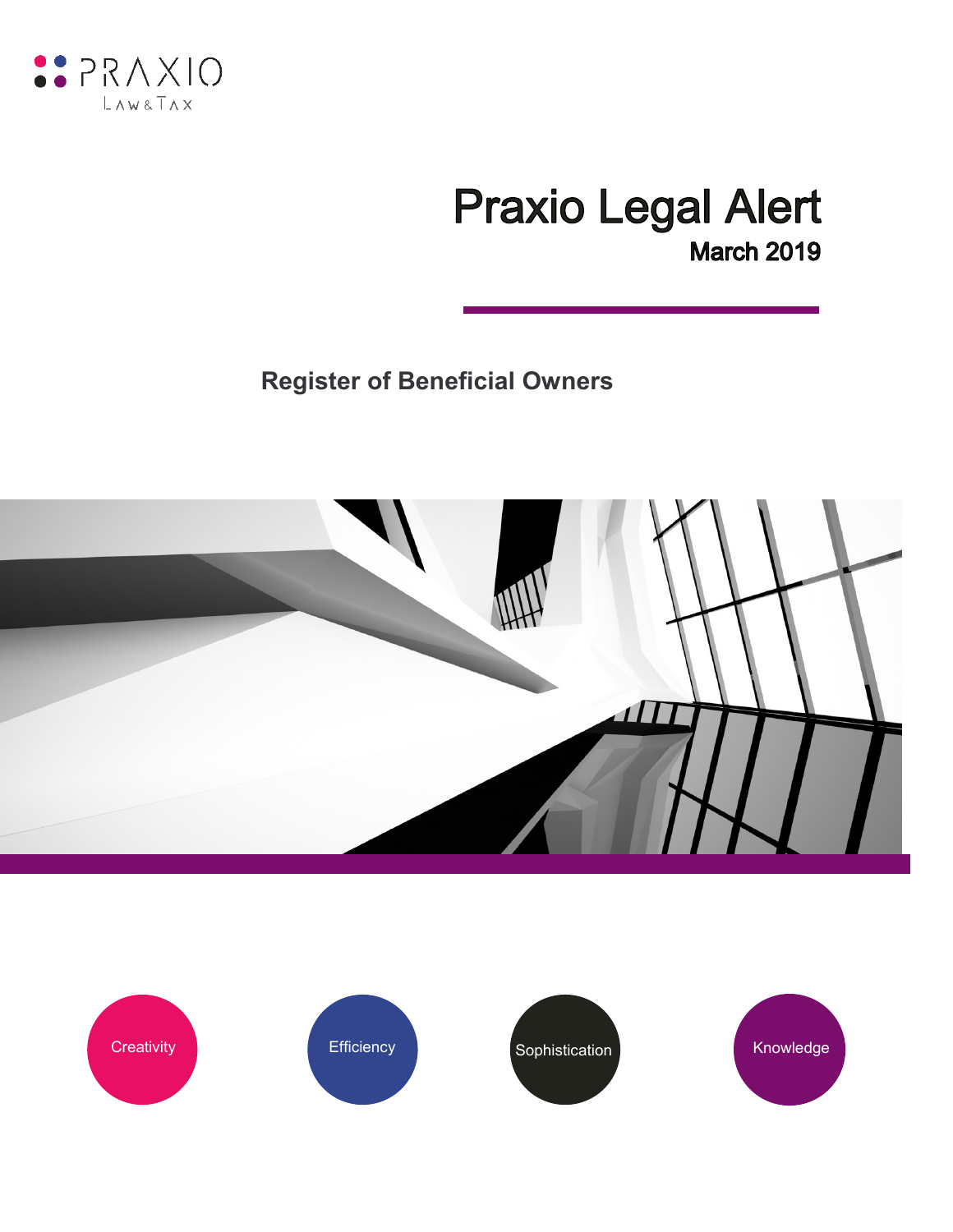

# **Praxio Legal Alert March 2019**

**Register of Beneficial Owners**



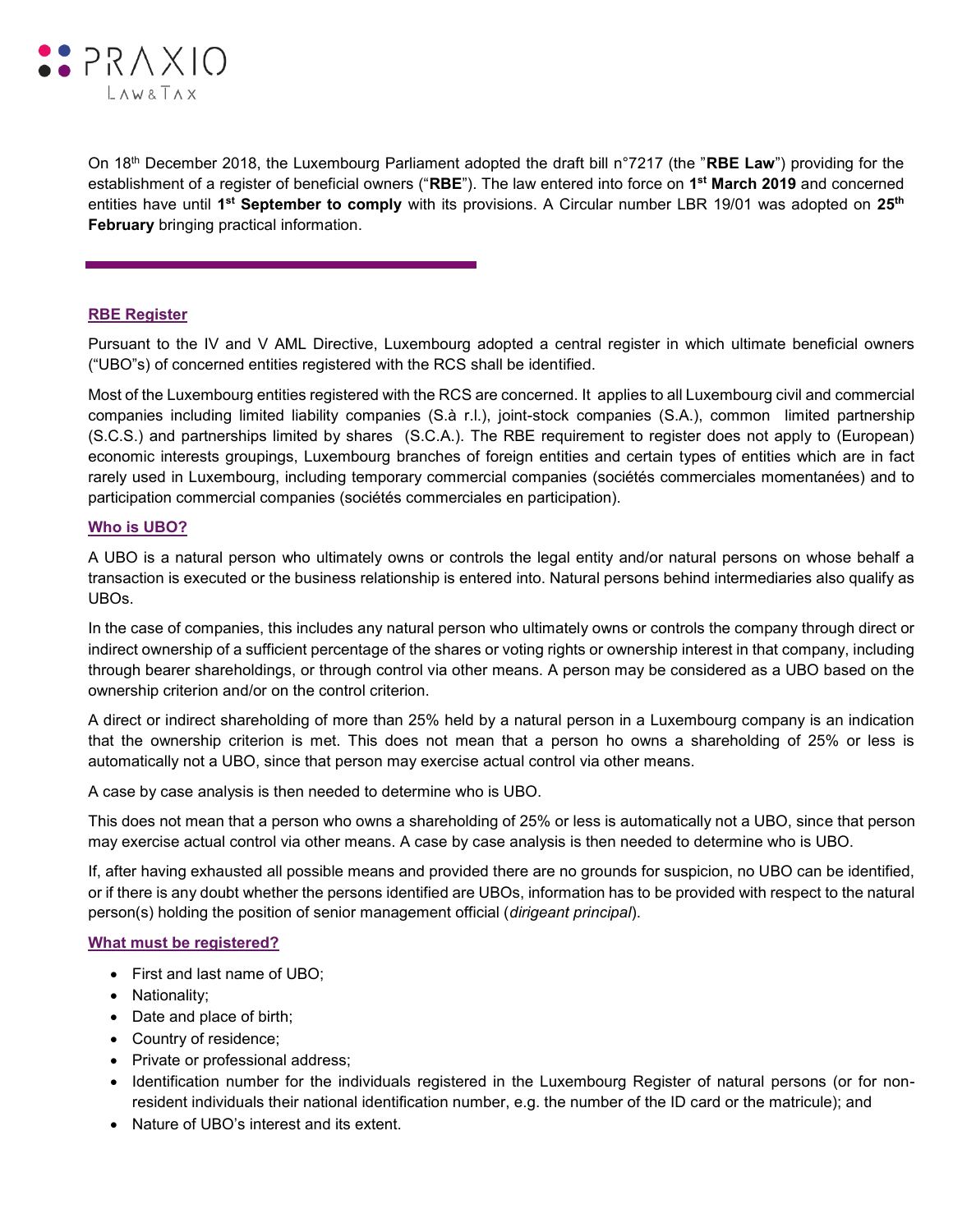

On 18th December 2018, the Luxembourg Parliament adopted the draft bill n°7217 (the "**RBE Law**") providing for the establishment of a register of beneficial owners ("**RBE**"). The law entered into force on **1 st March 2019** and concerned entities have until 1<sup>st</sup> September to comply with its provisions. A Circular number LBR 19/01 was adopted on 25<sup>th</sup> **February** bringing practical information.

## **RBE Register**

Pursuant to the IV and V AML Directive, Luxembourg adopted a central register in which ultimate beneficial owners ("UBO"s) of concerned entities registered with the RCS shall be identified.

Most of the Luxembourg entities registered with the RCS are concerned. It applies to all Luxembourg civil and commercial companies including limited liability companies (S.à r.l.), joint-stock companies (S.A.), common limited partnership (S.C.S.) and partnerships limited by shares (S.C.A.). The RBE requirement to register does not apply to (European) economic interests groupings, Luxembourg branches of foreign entities and certain types of entities which are in fact rarely used in Luxembourg, including temporary commercial companies (sociétés commerciales momentanées) and to participation commercial companies (sociétés commerciales en participation).

#### **Who is UBO?**

A UBO is a natural person who ultimately owns or controls the legal entity and/or natural persons on whose behalf a transaction is executed or the business relationship is entered into. Natural persons behind intermediaries also qualify as UBOs.

In the case of companies, this includes any natural person who ultimately owns or controls the company through direct or indirect ownership of a sufficient percentage of the shares or voting rights or ownership interest in that company, including through bearer shareholdings, or through control via other means. A person may be considered as a UBO based on the ownership criterion and/or on the control criterion.

A direct or indirect shareholding of more than 25% held by a natural person in a Luxembourg company is an indication that the ownership criterion is met. This does not mean that a person ho owns a shareholding of 25% or less is automatically not a UBO, since that person may exercise actual control via other means.

A case by case analysis is then needed to determine who is UBO.

This does not mean that a person who owns a shareholding of 25% or less is automatically not a UBO, since that person may exercise actual control via other means. A case by case analysis is then needed to determine who is UBO.

If, after having exhausted all possible means and provided there are no grounds for suspicion, no UBO can be identified, or if there is any doubt whether the persons identified are UBOs, information has to be provided with respect to the natural person(s) holding the position of senior management official (*dirigeant principal*).

#### **What must be registered?**

- First and last name of UBO;
- Nationality;
- Date and place of birth;
- Country of residence;
- Private or professional address;
- Identification number for the individuals registered in the Luxembourg Register of natural persons (or for nonresident individuals their national identification number, e.g. the number of the ID card or the matricule); and
- Nature of UBO's interest and its extent.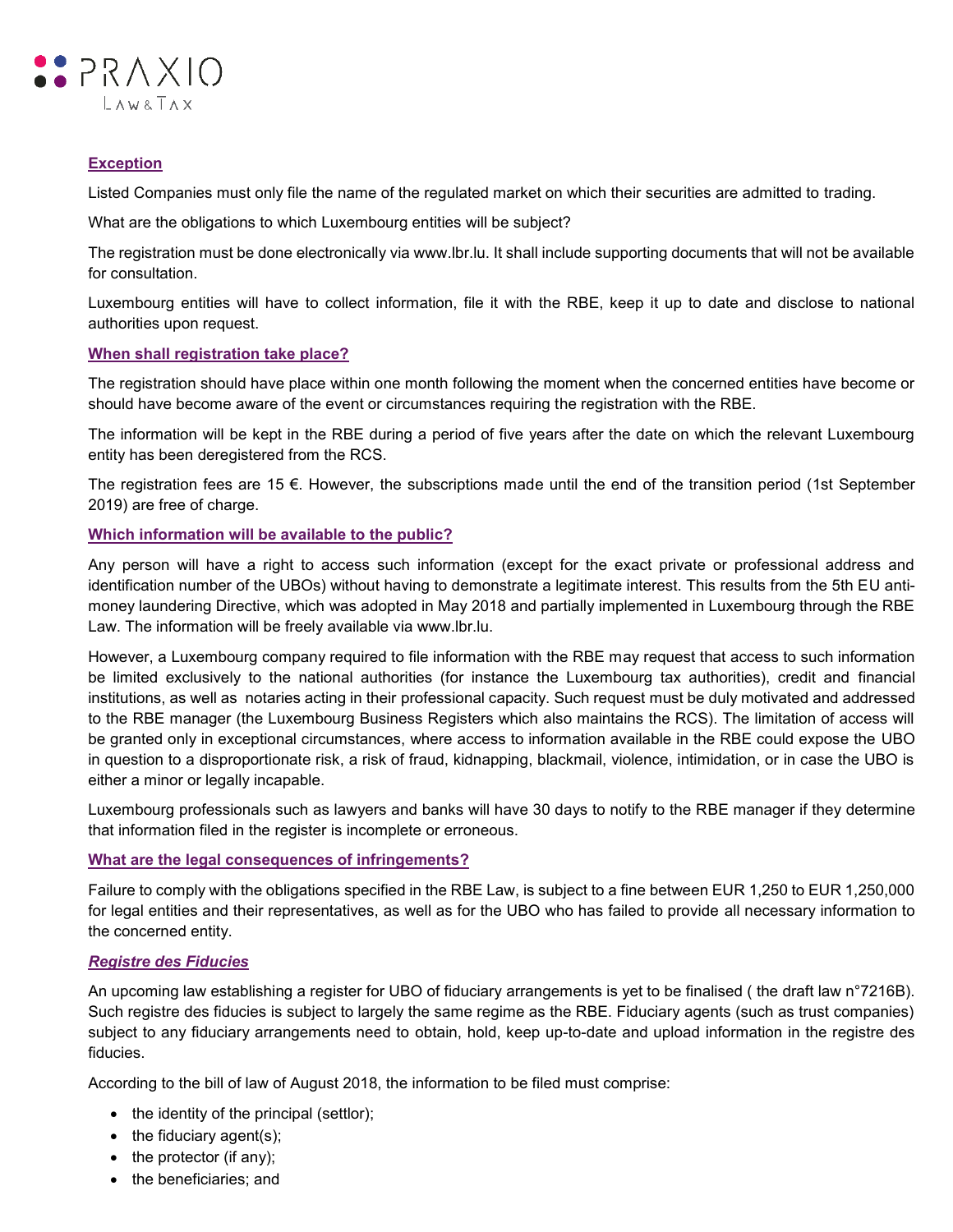

# **Exception**

Listed Companies must only file the name of the regulated market on which their securities are admitted to trading.

What are the obligations to which Luxembourg entities will be subject?

The registration must be done electronically via www.lbr.lu. It shall include supporting documents that will not be available for consultation.

Luxembourg entities will have to collect information, file it with the RBE, keep it up to date and disclose to national authorities upon request.

## **When shall registration take place?**

The registration should have place within one month following the moment when the concerned entities have become or should have become aware of the event or circumstances requiring the registration with the RBE.

The information will be kept in the RBE during a period of five years after the date on which the relevant Luxembourg entity has been deregistered from the RCS.

The registration fees are 15  $\epsilon$ . However, the subscriptions made until the end of the transition period (1st September 2019) are free of charge.

# **Which information will be available to the public?**

Any person will have a right to access such information (except for the exact private or professional address and identification number of the UBOs) without having to demonstrate a legitimate interest. This results from the 5th EU antimoney laundering Directive, which was adopted in May 2018 and partially implemented in Luxembourg through the RBE Law. The information will be freely available via www.lbr.lu.

However, a Luxembourg company required to file information with the RBE may request that access to such information be limited exclusively to the national authorities (for instance the Luxembourg tax authorities), credit and financial institutions, as well as notaries acting in their professional capacity. Such request must be duly motivated and addressed to the RBE manager (the Luxembourg Business Registers which also maintains the RCS). The limitation of access will be granted only in exceptional circumstances, where access to information available in the RBE could expose the UBO in question to a disproportionate risk, a risk of fraud, kidnapping, blackmail, violence, intimidation, or in case the UBO is either a minor or legally incapable.

Luxembourg professionals such as lawyers and banks will have 30 days to notify to the RBE manager if they determine that information filed in the register is incomplete or erroneous.

#### **What are the legal consequences of infringements?**

Failure to comply with the obligations specified in the RBE Law, is subject to a fine between EUR 1,250 to EUR 1,250,000 for legal entities and their representatives, as well as for the UBO who has failed to provide all necessary information to the concerned entity.

#### *Registre des Fiducies*

An upcoming law establishing a register for UBO of fiduciary arrangements is yet to be finalised ( the draft law n°7216B). Such registre des fiducies is subject to largely the same regime as the RBE. Fiduciary agents (such as trust companies) subject to any fiduciary arrangements need to obtain, hold, keep up-to-date and upload information in the registre des fiducies.

According to the bill of law of August 2018, the information to be filed must comprise:

- the identity of the principal (settlor);
- $\bullet$  the fiduciary agent(s);
- $\bullet$  the protector (if any);
- the beneficiaries; and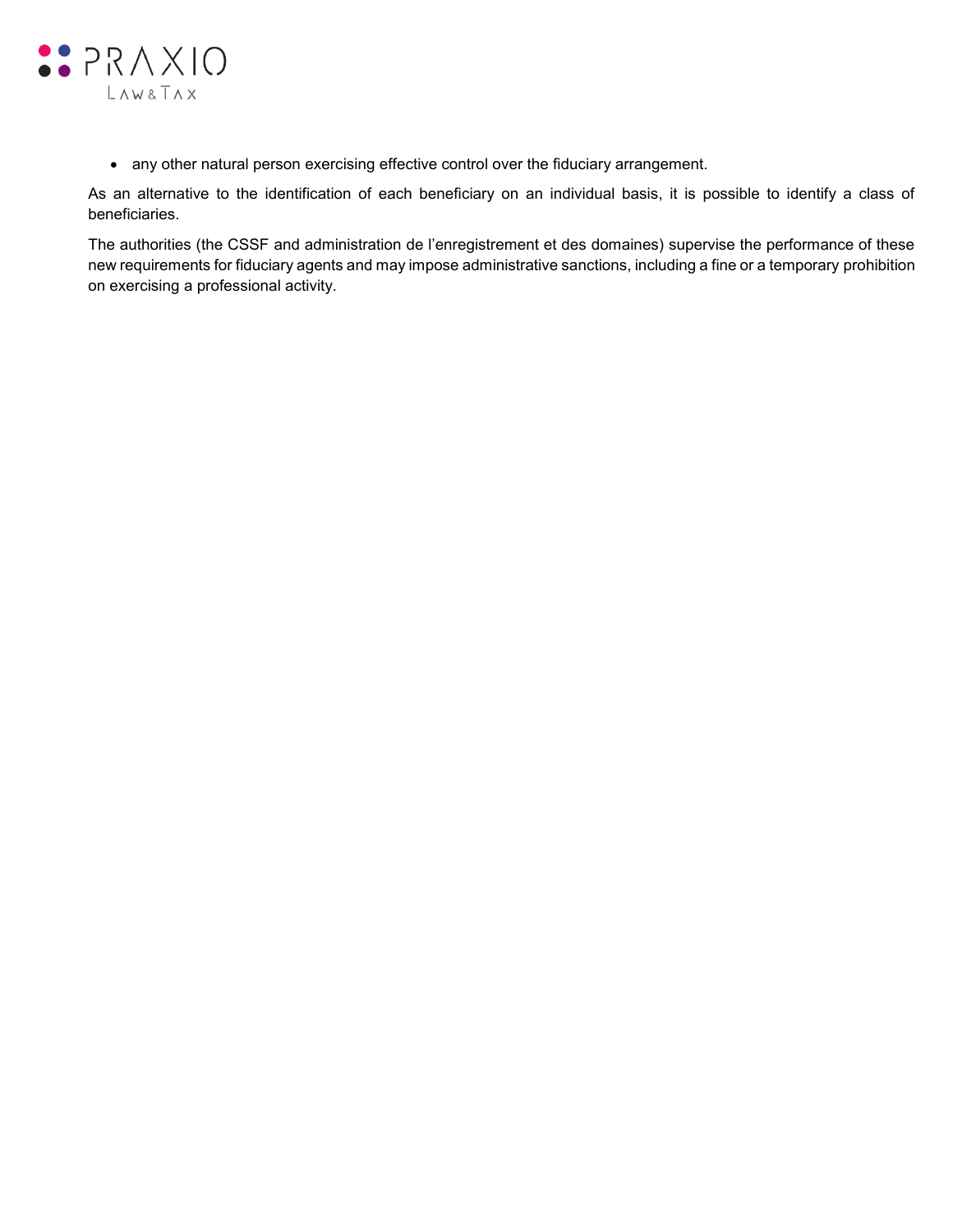

any other natural person exercising effective control over the fiduciary arrangement.

As an alternative to the identification of each beneficiary on an individual basis, it is possible to identify a class of beneficiaries.

The authorities (the CSSF and administration de l'enregistrement et des domaines) supervise the performance of these new requirements for fiduciary agents and may impose administrative sanctions, including a fine or a temporary prohibition on exercising a professional activity.